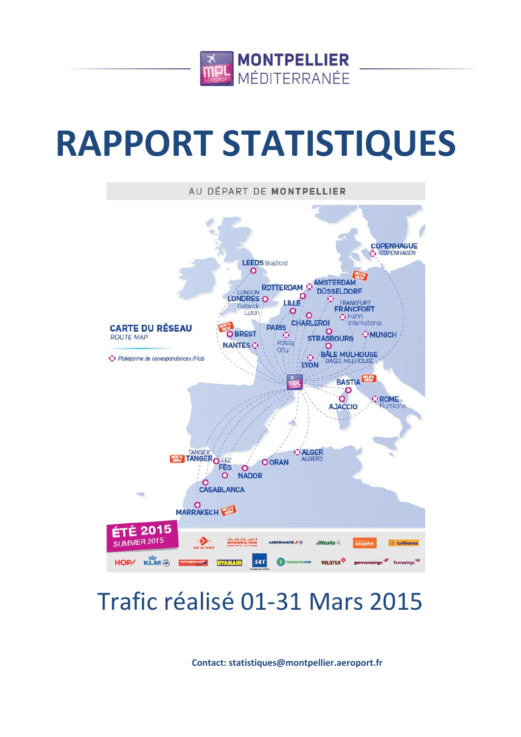

# **RAPPORT STATISTIQUES**



# Trafic réalisé 01-31 Mars 2015

**Contact: statistiques@montpellier.aeroport.fr**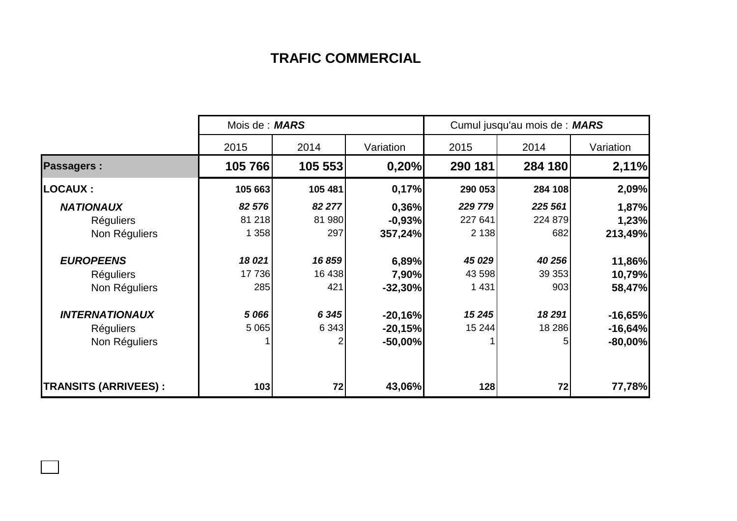## **TRAFIC COMMERCIAL**

|                             | Mois de : MARS |         |           | Cumul jusqu'au mois de : MARS |         |               |
|-----------------------------|----------------|---------|-----------|-------------------------------|---------|---------------|
|                             | 2015           | 2014    | Variation | 2015                          | 2014    | Variation     |
| <b>Passagers:</b>           | 105 766        | 105 553 | 0,20%     | 290 181                       | 284 180 | 2,11%         |
| <b>LOCAUX:</b>              | 105 663        | 105 481 | 0,17%     | 290 053                       | 284 108 | 2,09%         |
| <b>NATIONAUX</b>            | 82 576         | 82 277  | 0,36%     | 229 779                       | 225 561 | 1,87%         |
| <b>Réguliers</b>            | 81 218         | 81 980  | $-0,93%$  | 227 641                       | 224 879 | 1,23%         |
| Non Réguliers               | 1 358          | 297     | 357,24%   | 2 1 3 8                       | 682     | 213,49%       |
| <b>EUROPEENS</b>            | 18 0 21        | 16859   | 6,89%     | 45 0 29                       | 40 256  | <b>11,86%</b> |
| <b>Réguliers</b>            | 17736          | 16 438  | 7,90%     | 43 598                        | 39 353  | 10,79%        |
| Non Réguliers               | 285            | 421     | $-32,30%$ | 1 4 3 1                       | 903     | 58,47%        |
| <b>INTERNATIONAUX</b>       | 5 0 66         | 6 3 4 5 | $-20,16%$ | 15 245                        | 18 291  | $-16,65%$     |
| <b>Réguliers</b>            | 5 0 6 5        | 6 3 4 3 | $-20,15%$ | 15 244                        | 18 286  | $-16,64%$     |
| Non Réguliers               |                |         | $-50,00%$ |                               | 5       | $-80,00%$     |
| <b>TRANSITS (ARRIVEES):</b> | 103            | 72      | 43,06%    | 128                           | 72      | 77,78%        |

 $\Box$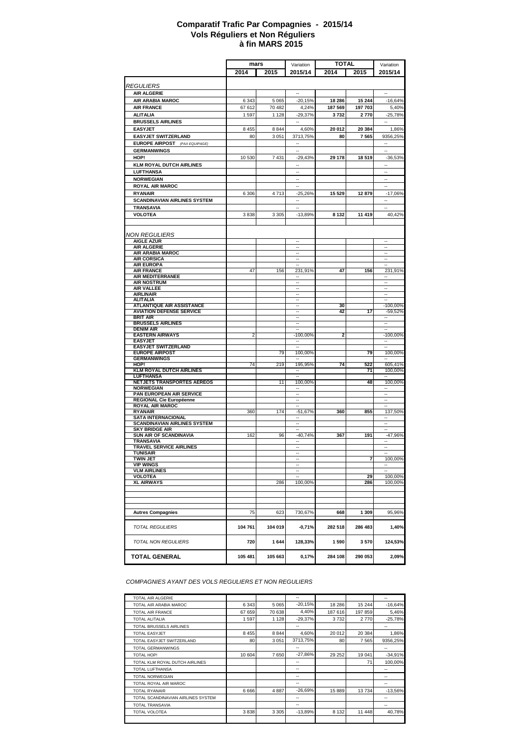#### **à fin MARS 2015 Comparatif Trafic Par Compagnies - 2015/14 Vols Réguliers et Non Réguliers**

|                                                                  |         |         |                          | <b>TOTAL</b> |         |                          |
|------------------------------------------------------------------|---------|---------|--------------------------|--------------|---------|--------------------------|
|                                                                  | mars    |         | Variation                |              |         | Variation                |
|                                                                  | 2014    | 2015    | 2015/14                  | 2014         | 2015    | 2015/14                  |
|                                                                  |         |         |                          |              |         |                          |
| <i><b>REGULIERS</b></i>                                          |         |         |                          |              |         |                          |
| <b>AIR ALGERIE</b>                                               |         |         |                          |              |         |                          |
| AIR ARABIA MAROC                                                 | 6 3 4 3 | 5 0 6 5 | $-20,15%$                | 18 28 6      | 15 244  | $-16,64%$                |
| <b>AIR FRANCE</b>                                                | 67 612  | 70 482  | 4,24%                    | 187 569      | 197 703 | 5.40%                    |
| <b>ALITALIA</b>                                                  | 1 597   | 1 1 2 8 | $-29,37%$                | 3732         | 2770    | $-25,78%$                |
| <b>BRUSSELS AIRLINES</b>                                         |         |         | $\sim$                   |              |         | $\sim$                   |
| <b>EASYJET</b>                                                   | 8 4 5 5 | 8 8 4 4 | 4,60%                    | 20 012       | 20 384  | 1,86%                    |
| <b>EASYJET SWITZERLAND</b>                                       | 80      | 3 0 5 1 | 3713,75%                 | 80           | 7 5 6 5 | 9356,25%                 |
| <b>EUROPE AIRPOST</b> (PAX EQUIPAGE)                             |         |         |                          |              |         |                          |
| <b>GERMANWINGS</b>                                               |         |         | ÷.                       |              |         | ÷.                       |
|                                                                  |         |         |                          |              | 18 519  |                          |
| HOP!                                                             | 10 530  | 7431    | $-29,43%$                | 29 178       |         | $-36,53%$                |
| <b>KLM ROYAL DUTCH AIRLINES</b>                                  |         |         | Ξ.                       |              |         | ۰.                       |
| <b>LUFTHANSA</b>                                                 |         |         | ٠.                       |              |         | Ξ.                       |
| <b>NORWEGIAN</b>                                                 |         |         | ٠.                       |              |         | Ξ.                       |
| <b>ROYAL AIR MAROC</b>                                           |         |         | $\sim$                   |              |         | $\sim$                   |
| <b>RYANAIR</b>                                                   | 6 3 0 6 | 4713    | $-25,26%$                | 15 5 29      | 12 879  | $-17,06%$                |
| <b>SCANDINAVIAN AIRLINES SYSTEM</b>                              |         |         | ÷.                       |              |         | $\sim$                   |
| <b>TRANSAVIA</b>                                                 |         |         | ä,                       |              |         | ä,                       |
| <b>VOLOTEA</b>                                                   | 3838    | 3 3 0 5 | $-13,89%$                | 8 1 3 2      | 11 419  | 40,42%                   |
|                                                                  |         |         |                          |              |         |                          |
|                                                                  |         |         |                          |              |         |                          |
| <b>NON REGULIERS</b>                                             |         |         |                          |              |         |                          |
| <b>AIGLE AZUR</b>                                                |         |         | --                       |              |         | ٠.                       |
| <b>AIR ALGERIE</b>                                               |         |         | $\overline{\phantom{a}}$ |              |         | $\overline{\phantom{a}}$ |
| <b>AIR ARABIA MAROC</b>                                          |         |         | ÷.                       |              |         | ÷.                       |
| <b>AIR CORSICA</b>                                               |         |         | $\sim$                   |              |         | $\sim$                   |
| <b>AIR EUROPA</b>                                                |         |         |                          |              |         |                          |
| <b>AIR FRANCE</b>                                                | 47      | 156     | 231,91%                  | 47           | 156     | 231,91%                  |
| <b>AIR MEDITERRANEE</b>                                          |         |         |                          |              |         |                          |
| <b>AIR NOSTRUM</b>                                               |         |         | ٠.                       |              |         | ÷.                       |
| AIR VALLEE                                                       |         |         | $\overline{\phantom{a}}$ |              |         | $\overline{\phantom{a}}$ |
| <b>AIRLINAIR</b><br><b>ALITALIA</b>                              |         |         | ۰.                       |              |         | ÷.                       |
| <b>ATLANTIQUE AIR ASSISTANCE</b>                                 |         |         | ٠.                       | 30           |         | -100,00%                 |
| <b>AVIATION DEFENSE SERVICE</b>                                  |         |         |                          | 42           | 17      | $-59,52%$                |
| BRIT AIR                                                         |         |         | $\overline{\phantom{a}}$ |              |         | ۰.                       |
| <b>BRUSSELS AIRLINES</b>                                         |         |         |                          |              |         | ۰.                       |
| <b>DENIM AIR</b>                                                 |         |         |                          |              |         | ٠.                       |
| <b>EASTERN AIRWAYS</b>                                           | 2       |         | $-100,00%$               | 2            |         | $-100,00%$               |
| <b>EASYJET</b>                                                   |         |         | --                       |              |         | ٠.                       |
| <b>EASYJET SWITZERLAND</b>                                       |         |         | $\sim$                   |              |         | $\sim$                   |
| <b>EUROPE AIRPOST</b><br><b>GERMANWINGS</b>                      |         | 79      | 100,00%                  |              | 79      | 100,00%                  |
| HOP!                                                             | 74      | 219     | 195,95%                  | 74           | 522     | 605,41%                  |
| <b>KLM ROYAL DUTCH AIRLINES</b>                                  |         |         | $\overline{\phantom{a}}$ |              | 71      | 100,00%                  |
| <b>LUFTHANSA</b>                                                 |         |         |                          |              |         |                          |
| NETJETS TRANSPORTES AEREOS                                       |         | 11      | 100,00%                  |              | 48      | 100,00%                  |
| <b>NORWEGIAN</b>                                                 |         |         | --                       |              |         |                          |
| PAN EUROPEAN AIR SERVICE                                         |         |         | $\overline{\phantom{a}}$ |              |         | н.                       |
| REGIONAL Cie Européenne                                          |         |         | ä,                       |              |         | ä,                       |
| <b>ROYAL AIR MAROC</b>                                           |         |         | u.                       |              |         | ÷.                       |
| <b>RYANAIR</b>                                                   | 360     | 174     | $-51,67%$                | 360          | 855     | 137,50%                  |
| <b>SATA INTERNACIONAL</b><br><b>SCANDINAVIAN AIRLINES SYSTEM</b> |         |         | $\overline{\phantom{a}}$ |              |         | ۰.<br>۰.                 |
| <b>SKY BRIDGE AIR</b>                                            |         |         |                          |              |         | ÷.                       |
| SUN AIR OF SCANDINAVIA                                           | 162     | 96      | $-40,74%$                | 367          | 191     | -47,96%                  |
| <b>TRANSAVIA</b>                                                 |         |         | ۰.                       |              |         | ٠.                       |
| <b>TRAVEL SERVICE AIRLINES</b>                                   |         |         | ۰.                       |              |         | ۰.                       |
| <b>TUNISAIR</b>                                                  |         |         |                          |              |         |                          |
| <b>TWIN JET</b>                                                  |         |         |                          |              | 7       | 100,00%                  |
| <b>VIP WINGS</b>                                                 |         |         | $\overline{\phantom{a}}$ |              |         | ٠.                       |
| <b>VLM AIRLINES</b>                                              |         |         |                          |              | 29      | 100,00%                  |
| <b>VOLOTEA</b><br><b>XL AIRWAYS</b>                              |         | 286     | 100,00%                  |              | 286     | 100,00%                  |
|                                                                  |         |         |                          |              |         |                          |
|                                                                  |         |         |                          |              |         |                          |
|                                                                  |         |         |                          |              |         |                          |
|                                                                  |         |         |                          |              |         |                          |
| <b>Autres Compagnies</b>                                         | 75      | 623     | 730,67%                  | 668          | 1 3 0 9 | 95,96%                   |
|                                                                  |         |         |                          |              |         |                          |
| <b>TOTAL REGULIERS</b>                                           | 104 761 | 104 019 | $-0,71%$                 | 282 518      | 286 483 | 1.40%                    |
|                                                                  |         |         |                          |              |         |                          |
| <b>TOTAL NON REGULIERS</b>                                       | 720     | 1644    | 128,33%                  | 1590         | 3570    | 124,53%                  |
|                                                                  |         |         |                          |              |         |                          |
|                                                                  |         |         |                          |              |         |                          |
| <b>TOTAL GENERAL</b>                                             | 105 481 | 105 663 | 0,17%                    | 284 108      | 290 053 | 2,09%                    |
|                                                                  |         |         |                          |              |         |                          |

*COMPAGNIES AYANT DES VOLS REGULIERS ET NON REGULIERS*

| TOTAL AIR ALGERIE                  |         |         | --        |         |         | --        |
|------------------------------------|---------|---------|-----------|---------|---------|-----------|
| TOTAL AIR ARABIA MAROC             | 6 3 4 3 | 5 0 6 5 | $-20.15%$ | 18 28 6 | 15 244  | $-16,64%$ |
| <b>TOTAL AIR FRANCE</b>            | 67 659  | 70 638  | 4.40%     | 187 616 | 197 859 | 5,46%     |
| <b>TOTAL ALITALIA</b>              | 1597    | 1 1 2 8 | $-29,37%$ | 3732    | 2770    | $-25,78%$ |
| TOTAL BRUSSELS AIRLINES            |         |         | --        |         |         | --        |
| <b>TOTAL EASYJET</b>               | 8 4 5 5 | 8 8 4 4 | 4.60%     | 20 012  | 20 384  | 1,86%     |
| TOTAL EASYJET SWITZERLAND          | 80      | 3 0 5 1 | 3713.75%  | 80      | 7 5 6 5 | 9356,25%  |
| <b>TOTAL GERMANWINGS</b>           |         |         | --        |         |         | --        |
| <b>TOTAL HOP!</b>                  | 10 604  | 7650    | $-27.86%$ | 29 25 2 | 19 041  | $-34.91%$ |
| TOTAL KLM ROYAL DUTCH AIRLINES     |         |         | ۰.        |         | 71      | 100,00%   |
| <b>TOTAL LUFTHANSA</b>             |         |         | --        |         |         | ٠.        |
| <b>TOTAL NORWEGIAN</b>             |         |         | --        |         |         | --        |
| TOTAL ROYAL AIR MAROC              |         |         | --        |         |         | --        |
| <b>TOTAL RYANAIR</b>               | 6 6 6 6 | 4887    | $-26.69%$ | 15 889  | 13734   | $-13,56%$ |
| TOTAL SCANDINAVIAN AIRLINES SYSTEM |         |         | --        |         |         | ٠.        |
| <b>TOTAL TRANSAVIA</b>             |         |         | --        |         |         | --        |
| <b>TOTAL VOLOTEA</b>               | 3838    | 3 3 0 5 | $-13,89%$ | 8 1 3 2 | 11 448  | 40,78%    |
|                                    |         |         |           |         |         |           |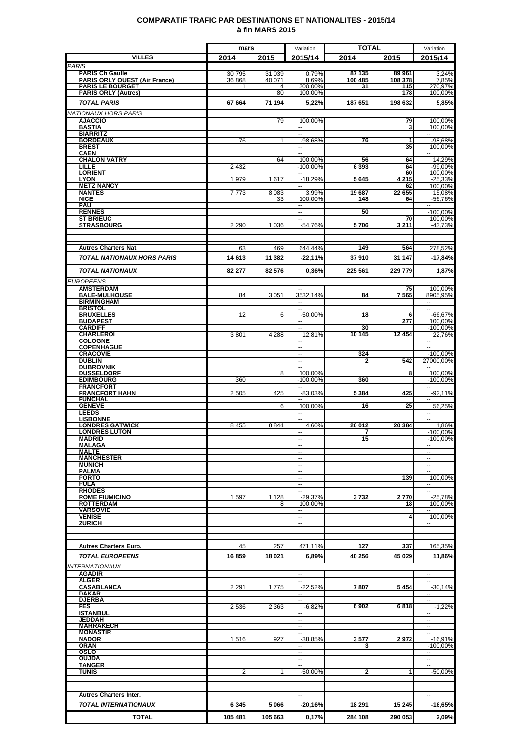### **COMPARATIF TRAFIC PAR DESTINATIONS ET NATIONALITES - 2015/14 à fin MARS 2015**

|                                                       | mars    |         | Variation                              | <b>TOTAL</b> |                         | Variation                                  |
|-------------------------------------------------------|---------|---------|----------------------------------------|--------------|-------------------------|--------------------------------------------|
| <b>VILLES</b>                                         | 2014    | 2015    | 2015/14                                | 2014         | 2015                    | 2015/14                                    |
| <b>PARIS</b><br><b>PARIS Ch Gaulle</b>                | 30795   | 31 039  | 0,79%                                  | 87 135       | 89 961                  | 3.24%                                      |
| <b>PARIS ORLY OUEST (Air France)</b>                  | 36868   | 40 071  | 8,69%                                  | 100 485      | 108 378                 | 7,85%                                      |
| <b>PARIS LE BOURGET</b><br><b>PARIS ORLY (Autres)</b> | 1       | 4<br>80 | 300,00%<br>100,00%                     | 31           | 115<br>178              | 270,97%<br>100.00%                         |
| <b>TOTAL PARIS</b>                                    | 67 664  | 71 194  | 5,22%                                  | 187 651      | 198 632                 | 5,85%                                      |
| <b>NATIONAUX HORS PARIS</b>                           |         |         |                                        |              |                         |                                            |
| <b>AJACCIO</b>                                        |         | 79      | 100,00%                                |              | 79                      | 100,00%                                    |
| <b>BASTIA</b><br><b>BIARRITZ</b>                      |         |         | u.<br>Ξ                                |              | 3                       | 100,00%<br>Ξ.                              |
| <b>BORDEAUX</b>                                       | 76      | 1       | $-98.68%$                              | 76           | 1                       | $-98,68%$                                  |
| <b>BREST</b><br><b>CAEN</b>                           |         |         | ⊷<br>$\sim$                            |              | 35                      | 100,00%                                    |
| <b>CHALON VATRY</b>                                   |         | 64      | 100,00%                                | 56           | 64                      | 14,29%                                     |
| LILLE<br><b>LORIENT</b>                               | 2 4 3 2 |         | $-100.00%$<br>$\overline{\phantom{a}}$ | 6393         | 64<br>60                | $-99,00%$<br>100,00%                       |
| <b>LYON</b>                                           | 1979    | 1617    | $-18,29%$                              | 5645         | 4 2 1 5                 | $-25,33%$                                  |
| <b>METZ NANCY</b><br><b>NANTES</b>                    | 7773    | 8 0 8 3 | $\sim$<br>3,99%                        | 19687        | 62<br>22 655            | 100,00%<br>15,08%                          |
| <b>NICE</b>                                           |         | 33      | 100,00%                                | 148          | 64                      | -56,76%                                    |
| <b>PAU</b><br><b>RENNES</b>                           |         |         | $\overline{a}$<br>--                   | 50           |                         | $-100,00%$                                 |
| <b>ST BRIEUC</b>                                      |         |         | H                                      |              | 70                      | 100,00%                                    |
| <b>STRASBOURG</b>                                     | 2 2 9 0 | 1 0 3 6 | $-54,76%$                              | 5706         | 3 2 1 1                 | $-43,73%$                                  |
|                                                       |         |         |                                        |              |                         |                                            |
| <b>Autres Charters Nat.</b>                           | 63      | 469     | 644,44%                                | 149          | 564                     | 278,52%                                    |
| <b>TOTAL NATIONAUX HORS PARIS</b>                     | 14 613  | 11 382  | $-22,11\%$                             | 37910        | 31 147                  | $-17,84%$                                  |
| <b>TOTAL NATIONAUX</b>                                | 82 277  | 82 576  | 0,36%                                  | 225 561      | 229 779                 | 1,87%                                      |
| <b>EUROPEENS</b>                                      |         |         |                                        |              |                         |                                            |
| <b>AMSTERDAM</b>                                      |         |         | $\overline{\phantom{a}}$               |              | 75                      | 100,00%                                    |
| <b>BALE-MULHOUSE</b><br><b>BIRMINGHAM</b>             | 84      | 3 0 5 1 | 3532,14%<br>۰.                         | 84           | 7565                    | 8905,95%<br>۰.                             |
| <b>BRISTOL</b>                                        |         |         | $\sim$                                 |              |                         | $\sim$                                     |
| <b>BRUXELLES</b><br><b>BUDAPEST</b>                   | 12      | 6       | $-50,00%$<br>$\overline{\phantom{a}}$  | 18           | 6<br>277                | $-66,67%$<br>100,00%                       |
| <b>CARDIFF</b>                                        |         |         | ۰.                                     | 30           |                         | $-100,00%$                                 |
| <b>CHARLEROI</b><br><b>COLOGNE</b>                    | 3801    | 4 2 8 8 | 12,81%                                 | 10 145       | 12454                   | 22,76%                                     |
| <b>COPENHAGUE</b>                                     |         |         |                                        |              |                         |                                            |
| <b>CRACOVIE</b><br><b>DUBLIN</b>                      |         |         | --                                     | 324<br>2     | 542                     | $-100,00%$<br>27000.00%                    |
| <b>DUBROVNIK</b>                                      |         |         |                                        |              |                         |                                            |
| <b>DUSSELDORF</b><br><b>EDIMBOURG</b>                 | 360     | 8       | 100,00%<br>$-100,00%$                  | 360          | $\overline{\mathbf{8}}$ | 100,00%<br>$-100,00%$                      |
| <b>FRANCFORT</b>                                      |         |         | $\sim$                                 |              |                         | $\sim$                                     |
| <b>FRANCFORT HAHN</b><br><b>FUNCHAL</b>               | 2 5 0 5 | 425     | $-83,03%$<br>$\mathbf{u}$              | 5 3 8 4      | 425                     | $-92,11%$<br>$\sim$                        |
| <b>GENEVE</b><br><b>LEEDS</b>                         |         | 6       | 100,00%<br>$\sim$                      | 16           | 25                      | 56,25%<br>$\sim$                           |
| <b>LISBONNE</b>                                       |         |         |                                        |              |                         |                                            |
| <b>LONDRES GATWICK</b><br><b>LONDRES LUTON</b>        | 8 4 5 5 | 8844    | 4.60%<br>$\overline{\phantom{a}}$      | 20 012       | 20 384                  | 1,86%<br>$-100,00%$                        |
| <b>MADRID</b>                                         |         |         | --                                     | 15           |                         | $-100,00%$                                 |
| <b>MALAGA</b><br><b>MALTE</b>                         |         |         | $\sim$<br>$\overline{a}$               |              |                         | $\overline{\phantom{a}}$                   |
| <b>MANCHESTER</b>                                     |         |         | $\sim$                                 |              |                         | $\sim$                                     |
| <b>MUNICH</b><br><b>PALMA</b>                         |         |         | ۰.<br>$\overline{\phantom{a}}$         |              |                         | $\overline{\phantom{a}}$                   |
| <b>PORTO</b>                                          |         |         | $\overline{\phantom{a}}$               |              | 139                     | 100,00%                                    |
| <b>PULA</b><br><b>RHODES</b>                          |         |         | $\overline{\phantom{a}}$<br>۰.         |              |                         | $\sim$<br>$\overline{\phantom{a}}$         |
| <b>ROME FIUMICINO</b>                                 | 1597    | 1 1 2 8 | $-29,37%$                              | 3732         | 2 770                   | $-25,78%$                                  |
| <b>ROTTERDAM</b><br><b>VARSOVIE</b>                   |         | 8       | 100,00%<br>$\overline{a}$              |              | 18                      | 100,00%                                    |
| <b>VENISE</b>                                         |         |         | −−                                     |              | 4                       | 100,00%                                    |
| <b>ZURICH</b>                                         |         |         |                                        |              |                         |                                            |
|                                                       |         |         |                                        |              |                         |                                            |
| <b>Autres Charters Euro.</b>                          | 45      | 257     | 471,11%                                | 127          | 337                     | 165,35%                                    |
| <b>TOTAL EUROPEENS</b>                                | 16859   | 18 021  | 6,89%                                  | 40 256       | 45 029                  | 11,86%                                     |
| <b>INTERNATIONAUX</b>                                 |         |         |                                        |              |                         |                                            |
| <b>AGADIR</b><br><b>ALGER</b>                         |         |         | $\sim$<br>$\sim$                       |              |                         | $\overline{a}$<br>ц.                       |
| <b>CASABLANCA</b>                                     | 2 2 9 1 | 1775    | $-22,52%$                              | 7807         | 5454                    | $-30,14%$                                  |
| <b>DAKAR</b><br><b>DJERBA</b>                         |         |         | --<br>L.                               |              |                         | $\overline{\phantom{a}}$<br>$\overline{a}$ |
| <b>FES</b>                                            | 2536    | 2 3 6 3 | $-6,82%$                               | 6902         | 6818                    | $-1,22%$                                   |
| <b>ISTANBUL</b><br>JEDDAH                             |         |         | $\sim$<br>$\overline{\phantom{a}}$     |              |                         | $\sim$<br>۰.                               |
| <b>MARRAKECH</b>                                      |         |         | $\overline{\phantom{a}}$               |              |                         | $\sim$                                     |
| <b>MONASTIR</b><br><b>NADOR</b>                       | 1516    | 927     | ۰.<br>$-38,85%$                        | 3577         | 2972                    | $\overline{\phantom{a}}$<br>$-16,91%$      |
| <b>ORAN</b>                                           |         |         | --                                     | 3            |                         | $-100,00%$                                 |
| <b>OSLO</b><br><b>OUJDA</b>                           |         |         | $\sim$<br>--                           |              |                         |                                            |
| <b>TANGER</b>                                         |         |         |                                        |              |                         |                                            |
| <b>TUNIS</b>                                          |         |         | $-50,00%$                              | 2            |                         | $-50,00%$                                  |
|                                                       |         |         |                                        |              |                         |                                            |
| <b>Autres Charters Inter.</b>                         |         |         | u.                                     |              |                         | ш,                                         |
| <b>TOTAL INTERNATIONAUX</b>                           | 6345    | 5066    | -20,16%                                | 18 291       | 15 245                  | $-16,65%$                                  |
| <b>TOTAL</b>                                          | 105 481 | 105 663 | 0,17%                                  | 284 108      | 290 053                 | 2,09%                                      |